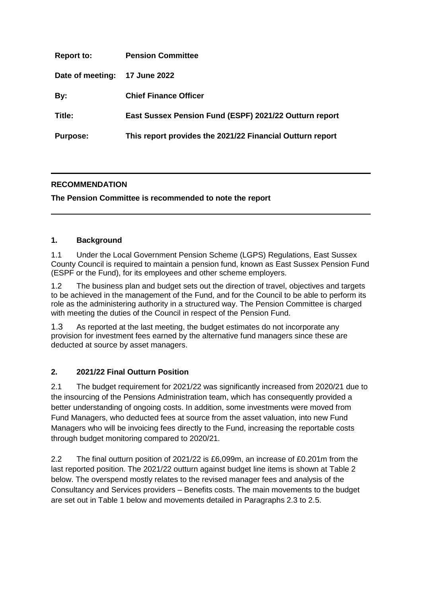| <b>Report to:</b> | <b>Pension Committee</b>                                  |
|-------------------|-----------------------------------------------------------|
| Date of meeting:  | 17 June 2022                                              |
| By:               | <b>Chief Finance Officer</b>                              |
| Title:            | East Sussex Pension Fund (ESPF) 2021/22 Outturn report    |
| <b>Purpose:</b>   | This report provides the 2021/22 Financial Outturn report |

# **RECOMMENDATION**

**The Pension Committee is recommended to note the report** 

## **1. Background**

1.1 Under the Local Government Pension Scheme (LGPS) Regulations, East Sussex County Council is required to maintain a pension fund, known as East Sussex Pension Fund (ESPF or the Fund), for its employees and other scheme employers.

1.2 The business plan and budget sets out the direction of travel, objectives and targets to be achieved in the management of the Fund, and for the Council to be able to perform its role as the administering authority in a structured way. The Pension Committee is charged with meeting the duties of the Council in respect of the Pension Fund.

1.3 As reported at the last meeting, the budget estimates do not incorporate any provision for investment fees earned by the alternative fund managers since these are deducted at source by asset managers.

# **2. 2021/22 Final Outturn Position**

2.1 The budget requirement for 2021/22 was significantly increased from 2020/21 due to the insourcing of the Pensions Administration team, which has consequently provided a better understanding of ongoing costs. In addition, some investments were moved from Fund Managers, who deducted fees at source from the asset valuation, into new Fund Managers who will be invoicing fees directly to the Fund, increasing the reportable costs through budget monitoring compared to 2020/21.

2.2 The final outturn position of 2021/22 is £6,099m, an increase of £0.201m from the last reported position. The 2021/22 outturn against budget line items is shown at Table 2 below. The overspend mostly relates to the revised manager fees and analysis of the Consultancy and Services providers – Benefits costs. The main movements to the budget are set out in Table 1 below and movements detailed in Paragraphs 2.3 to 2.5.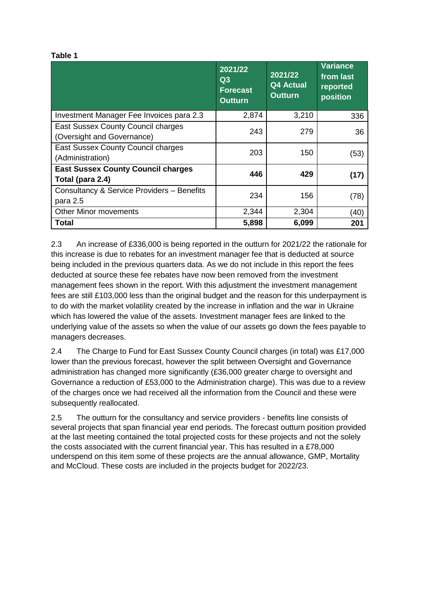#### **Table 1**

|                                                                         | 2021/22<br>Q3<br><b>Forecast</b><br><b>Outturn</b> | 2021/22<br><b>Q4 Actual</b><br><b>Outturn</b> | <b>Variance</b><br>from last<br>reported<br>position |
|-------------------------------------------------------------------------|----------------------------------------------------|-----------------------------------------------|------------------------------------------------------|
| Investment Manager Fee Invoices para 2.3                                | 2,874                                              | 3,210                                         |                                                      |
| <b>East Sussex County Council charges</b><br>(Oversight and Governance) | 243                                                | 279                                           | 36                                                   |
| East Sussex County Council charges<br>(Administration)                  | 203                                                | 150                                           | (53)                                                 |
| <b>East Sussex County Council charges</b><br>Total (para 2.4)           | 446                                                | 429                                           | (17)                                                 |
| Consultancy & Service Providers - Benefits<br>para 2.5                  | 234                                                | 156                                           | (78)                                                 |
| <b>Other Minor movements</b>                                            | 2,344                                              | 2,304                                         | (40)                                                 |
| Total                                                                   | 5,898                                              | 6,099                                         | 201                                                  |

2.3 An increase of £336,000 is being reported in the outturn for 2021/22 the rationale for this increase is due to rebates for an investment manager fee that is deducted at source being included in the previous quarters data. As we do not include in this report the fees deducted at source these fee rebates have now been removed from the investment management fees shown in the report. With this adjustment the investment management fees are still £103,000 less than the original budget and the reason for this underpayment is to do with the market volatility created by the increase in inflation and the war in Ukraine which has lowered the value of the assets. Investment manager fees are linked to the underlying value of the assets so when the value of our assets go down the fees payable to managers decreases.

2.4 The Charge to Fund for East Sussex County Council charges (in total) was £17,000 lower than the previous forecast, however the split between Oversight and Governance administration has changed more significantly (£36,000 greater charge to oversight and Governance a reduction of £53,000 to the Administration charge). This was due to a review of the charges once we had received all the information from the Council and these were subsequently reallocated.

2.5 The outturn for the consultancy and service providers - benefits line consists of several projects that span financial year end periods. The forecast outturn position provided at the last meeting contained the total projected costs for these projects and not the solely the costs associated with the current financial year. This has resulted in a £78,000 underspend on this item some of these projects are the annual allowance, GMP, Mortality and McCloud. These costs are included in the projects budget for 2022/23.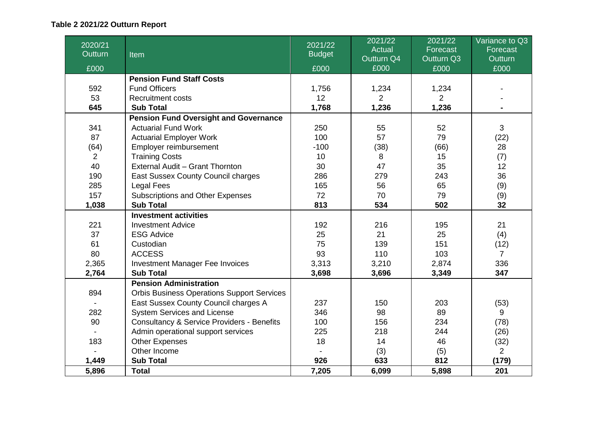# **Table 2 2021/22 Outturn Report**

| 2020/21<br>Outturn | Item                                                  | 2021/22<br><b>Budget</b> | 2021/22<br><b>Actual</b> | 2021/22<br>Forecast | Variance to Q3<br>Forecast |
|--------------------|-------------------------------------------------------|--------------------------|--------------------------|---------------------|----------------------------|
|                    |                                                       |                          | Outturn Q4               | Outturn Q3          | <b>Outturn</b>             |
| £000               |                                                       | £000                     | £000                     | £000                | £000                       |
|                    | <b>Pension Fund Staff Costs</b>                       |                          |                          |                     |                            |
| 592                | <b>Fund Officers</b>                                  | 1,756                    | 1,234                    | 1,234               |                            |
| 53                 | <b>Recruitment costs</b>                              | 12                       | $\overline{2}$           | $\overline{2}$      |                            |
| 645                | <b>Sub Total</b>                                      | 1,768                    | 1,236                    | 1,236               |                            |
|                    | <b>Pension Fund Oversight and Governance</b>          |                          |                          |                     |                            |
| 341                | <b>Actuarial Fund Work</b>                            | 250                      | 55                       | 52                  | 3                          |
| 87                 | <b>Actuarial Employer Work</b>                        | 100                      | 57                       | 79                  | (22)                       |
| (64)               | Employer reimbursement                                | $-100$                   | (38)                     | (66)                | 28                         |
| $\overline{2}$     | <b>Training Costs</b>                                 | 10                       | 8                        | 15                  | (7)                        |
| 40                 | External Audit - Grant Thornton                       | 30                       | 47                       | 35                  | 12                         |
| 190                | East Sussex County Council charges                    | 286                      | 279                      | 243                 | 36                         |
| 285                | <b>Legal Fees</b>                                     | 165                      | 56                       | 65                  | (9)                        |
| 157                | <b>Subscriptions and Other Expenses</b>               | 72                       | 70                       | 79                  | (9)                        |
| 1,038              | <b>Sub Total</b>                                      | 813                      | 534                      | 502                 | 32                         |
|                    | <b>Investment activities</b>                          |                          |                          |                     |                            |
| 221                | <b>Investment Advice</b>                              | 192                      | 216                      | 195                 | 21                         |
| 37                 | <b>ESG Advice</b>                                     | 25                       | 21                       | 25                  | (4)                        |
| 61                 | Custodian                                             | 75                       | 139                      | 151                 | (12)                       |
| 80                 | <b>ACCESS</b>                                         | 93                       | 110                      | 103                 | $\overline{7}$             |
| 2,365              | Investment Manager Fee Invoices                       | 3,313                    | 3,210                    | 2,874               | 336                        |
| 2,764              | <b>Sub Total</b>                                      | 3,698                    | 3,696                    | 3,349               | 347                        |
|                    | <b>Pension Administration</b>                         |                          |                          |                     |                            |
| 894                | <b>Orbis Business Operations Support Services</b>     |                          |                          |                     |                            |
|                    | East Sussex County Council charges A                  | 237                      | 150                      | 203                 | (53)                       |
| 282                | System Services and License                           | 346                      | 98                       | 89                  | 9                          |
| 90                 | <b>Consultancy &amp; Service Providers - Benefits</b> | 100                      | 156                      | 234                 | (78)                       |
|                    | Admin operational support services                    | 225                      | 218                      | 244                 | (26)                       |
| 183                | <b>Other Expenses</b>                                 | 18                       | 14                       | 46                  | (32)                       |
|                    | Other Income                                          |                          | (3)                      | (5)                 | $\overline{2}$             |
| 1,449              | <b>Sub Total</b>                                      | 926                      | 633                      | 812                 | (179)                      |
| 5,896              | <b>Total</b>                                          | 7,205                    | 6,099                    | 5,898               | 201                        |